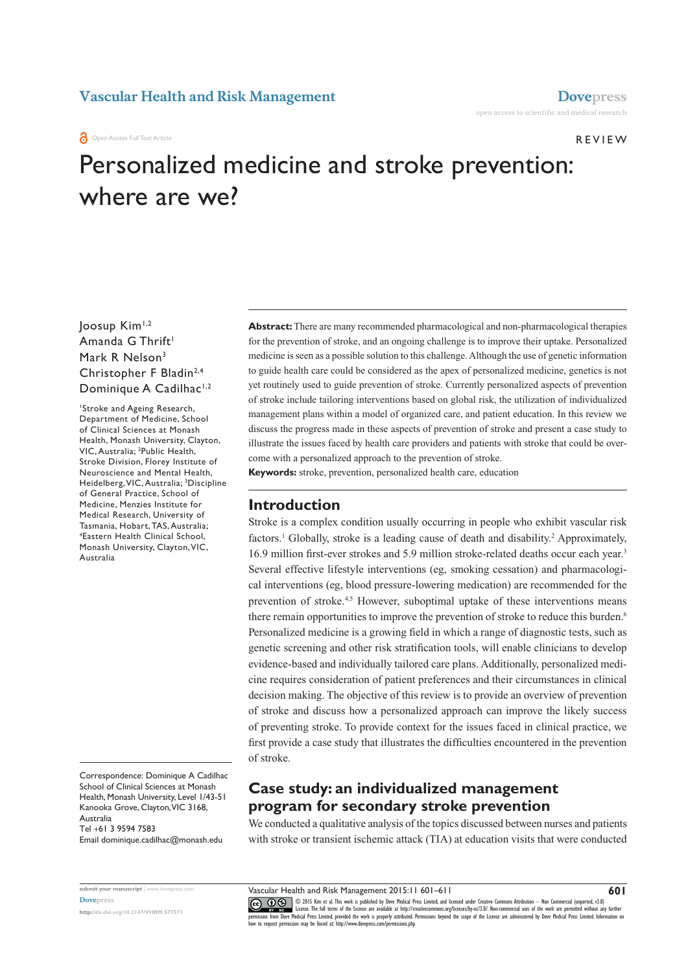#### **Vascular Health and Risk Management Dovepress**

**a** Open Access Full Text Article

REVIEW

**601**

# Personalized medicine and stroke prevention: where are we?

## loosup Kim<sup>1,2</sup> Amanda G Thrift<sup>1</sup> Mark R Nelson<sup>3</sup> Christopher F Bladin2,4 Dominique A Cadilhac<sup>1,2</sup>

1 Stroke and Ageing Research, Department of Medicine, School of Clinical Sciences at Monash Health, Monash University, Clayton, VIC, Australia; 2 Public Health, Stroke Division, Florey Institute of Neuroscience and Mental Health, Heidelberg, VIC, Australia; 3 Discipline of General Practice, School of Medicine, Menzies Institute for Medical Research, University of Tasmania, Hobart, TAS, Australia; 4 Eastern Health Clinical School, Monash University, Clayton, VIC, Australia

Correspondence: Dominique A Cadilhac School of Clinical Sciences at Monash Health, Monash University, Level 1/43-51 Kanooka Grove, Clayton, VIC 3168, Australia Tel +61 3 9594 7583 Email dominique.cadilhac@monash.edu

**Abstract:** There are many recommended pharmacological and non-pharmacological therapies for the prevention of stroke, and an ongoing challenge is to improve their uptake. Personalized medicine is seen as a possible solution to this challenge. Although the use of genetic information to guide health care could be considered as the apex of personalized medicine, genetics is not yet routinely used to guide prevention of stroke. Currently personalized aspects of prevention of stroke include tailoring interventions based on global risk, the utilization of individualized management plans within a model of organized care, and patient education. In this review we discuss the progress made in these aspects of prevention of stroke and present a case study to illustrate the issues faced by health care providers and patients with stroke that could be overcome with a personalized approach to the prevention of stroke.

**Keywords:** stroke, prevention, personalized health care, education

## **Introduction**

Stroke is a complex condition usually occurring in people who exhibit vascular risk factors.<sup>1</sup> Globally, stroke is a leading cause of death and disability.<sup>2</sup> Approximately, 16.9 million first-ever strokes and 5.9 million stroke-related deaths occur each year.3 Several effective lifestyle interventions (eg, smoking cessation) and pharmacological interventions (eg, blood pressure-lowering medication) are recommended for the prevention of stroke.<sup>4,5</sup> However, suboptimal uptake of these interventions means there remain opportunities to improve the prevention of stroke to reduce this burden.6 Personalized medicine is a growing field in which a range of diagnostic tests, such as genetic screening and other risk stratification tools, will enable clinicians to develop evidence-based and individually tailored care plans. Additionally, personalized medicine requires consideration of patient preferences and their circumstances in clinical decision making. The objective of this review is to provide an overview of prevention of stroke and discuss how a personalized approach can improve the likely success of preventing stroke. To provide context for the issues faced in clinical practice, we first provide a case study that illustrates the difficulties encountered in the prevention of stroke.

# **Case study: an individualized management program for secondary stroke prevention**

We conducted a qualitative analysis of the topics discussed between nurses and patients with stroke or transient ischemic attack (TIA) at education visits that were conducted

CO 10 S DIS Kim et al. This work is published by Dove Medical Press Limited, and licensed under Creative Commons Attribution — Non Commercial (unported, v3.0)<br>permission from Dove Medical Press Limited, provided the work i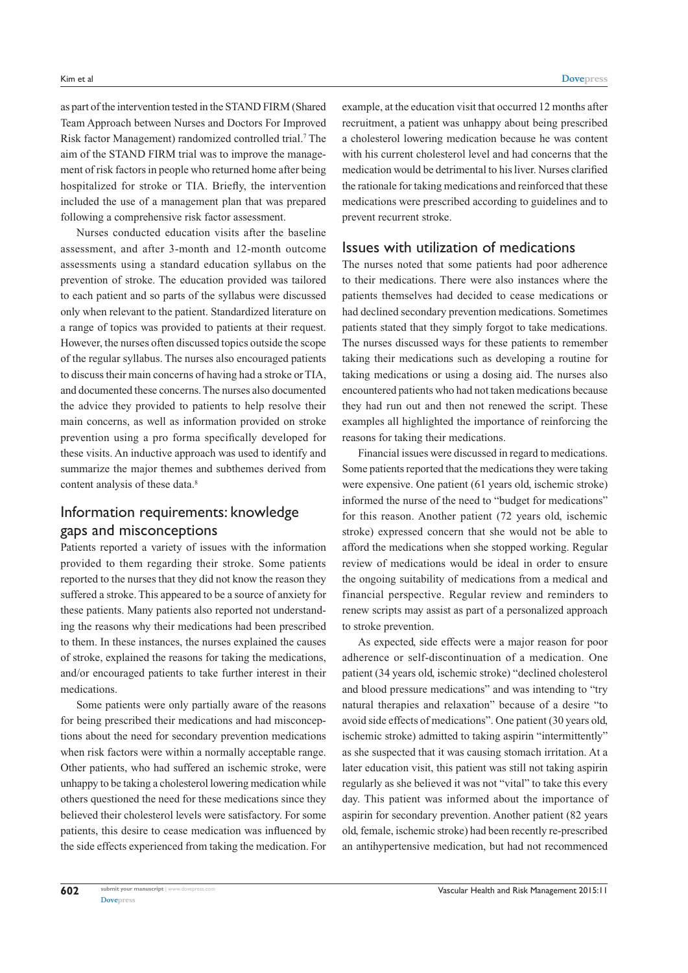as part of the intervention tested in the STAND FIRM (Shared Team Approach between Nurses and Doctors For Improved Risk factor Management) randomized controlled trial.<sup>7</sup> The aim of the STAND FIRM trial was to improve the management of risk factors in people who returned home after being hospitalized for stroke or TIA. Briefly, the intervention included the use of a management plan that was prepared following a comprehensive risk factor assessment.

Nurses conducted education visits after the baseline assessment, and after 3-month and 12-month outcome assessments using a standard education syllabus on the prevention of stroke. The education provided was tailored to each patient and so parts of the syllabus were discussed only when relevant to the patient. Standardized literature on a range of topics was provided to patients at their request. However, the nurses often discussed topics outside the scope of the regular syllabus. The nurses also encouraged patients to discuss their main concerns of having had a stroke or TIA, and documented these concerns. The nurses also documented the advice they provided to patients to help resolve their main concerns, as well as information provided on stroke prevention using a pro forma specifically developed for these visits. An inductive approach was used to identify and summarize the major themes and subthemes derived from content analysis of these data.<sup>8</sup>

# Information requirements: knowledge gaps and misconceptions

Patients reported a variety of issues with the information provided to them regarding their stroke. Some patients reported to the nurses that they did not know the reason they suffered a stroke. This appeared to be a source of anxiety for these patients. Many patients also reported not understanding the reasons why their medications had been prescribed to them. In these instances, the nurses explained the causes of stroke, explained the reasons for taking the medications, and/or encouraged patients to take further interest in their medications.

Some patients were only partially aware of the reasons for being prescribed their medications and had misconceptions about the need for secondary prevention medications when risk factors were within a normally acceptable range. Other patients, who had suffered an ischemic stroke, were unhappy to be taking a cholesterol lowering medication while others questioned the need for these medications since they believed their cholesterol levels were satisfactory. For some patients, this desire to cease medication was influenced by the side effects experienced from taking the medication. For

example, at the education visit that occurred 12 months after recruitment, a patient was unhappy about being prescribed a cholesterol lowering medication because he was content with his current cholesterol level and had concerns that the medication would be detrimental to his liver. Nurses clarified the rationale for taking medications and reinforced that these medications were prescribed according to guidelines and to prevent recurrent stroke.

### Issues with utilization of medications

The nurses noted that some patients had poor adherence to their medications. There were also instances where the patients themselves had decided to cease medications or had declined secondary prevention medications. Sometimes patients stated that they simply forgot to take medications. The nurses discussed ways for these patients to remember taking their medications such as developing a routine for taking medications or using a dosing aid. The nurses also encountered patients who had not taken medications because they had run out and then not renewed the script. These examples all highlighted the importance of reinforcing the reasons for taking their medications.

Financial issues were discussed in regard to medications. Some patients reported that the medications they were taking were expensive. One patient (61 years old, ischemic stroke) informed the nurse of the need to "budget for medications" for this reason. Another patient (72 years old, ischemic stroke) expressed concern that she would not be able to afford the medications when she stopped working. Regular review of medications would be ideal in order to ensure the ongoing suitability of medications from a medical and financial perspective. Regular review and reminders to renew scripts may assist as part of a personalized approach to stroke prevention.

As expected, side effects were a major reason for poor adherence or self-discontinuation of a medication. One patient (34 years old, ischemic stroke) "declined cholesterol and blood pressure medications" and was intending to "try natural therapies and relaxation" because of a desire "to avoid side effects of medications". One patient (30 years old, ischemic stroke) admitted to taking aspirin "intermittently" as she suspected that it was causing stomach irritation. At a later education visit, this patient was still not taking aspirin regularly as she believed it was not "vital" to take this every day. This patient was informed about the importance of aspirin for secondary prevention. Another patient (82 years old, female, ischemic stroke) had been recently re-prescribed an antihypertensive medication, but had not recommenced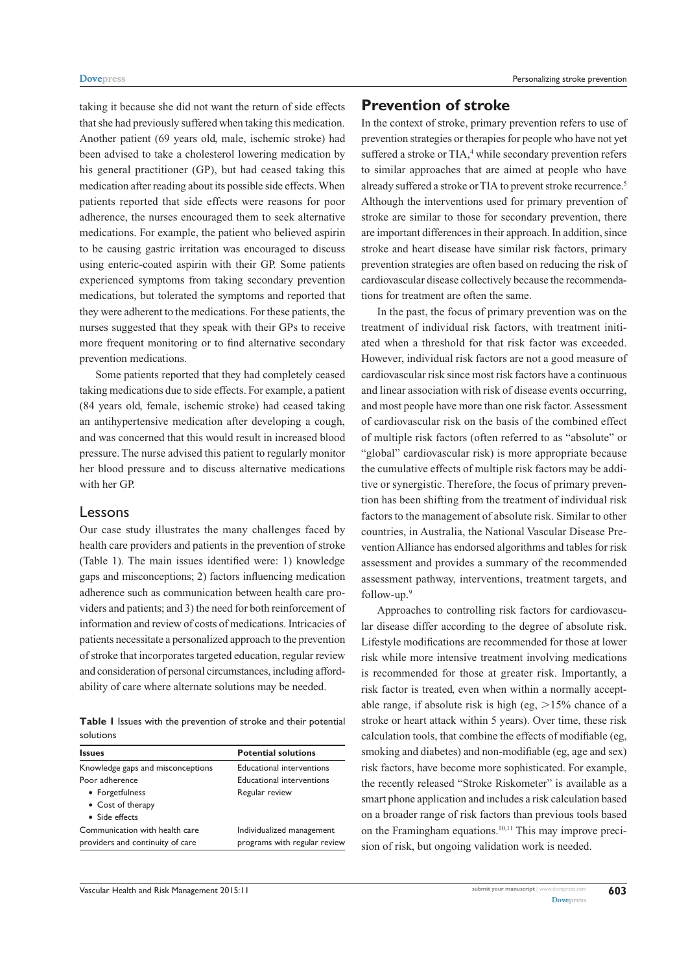taking it because she did not want the return of side effects that she had previously suffered when taking this medication. Another patient (69 years old, male, ischemic stroke) had been advised to take a cholesterol lowering medication by his general practitioner (GP), but had ceased taking this medication after reading about its possible side effects. When patients reported that side effects were reasons for poor adherence, the nurses encouraged them to seek alternative medications. For example, the patient who believed aspirin to be causing gastric irritation was encouraged to discuss using enteric-coated aspirin with their GP. Some patients experienced symptoms from taking secondary prevention medications, but tolerated the symptoms and reported that they were adherent to the medications. For these patients, the nurses suggested that they speak with their GPs to receive more frequent monitoring or to find alternative secondary prevention medications.

Some patients reported that they had completely ceased taking medications due to side effects. For example, a patient (84 years old, female, ischemic stroke) had ceased taking an antihypertensive medication after developing a cough, and was concerned that this would result in increased blood pressure. The nurse advised this patient to regularly monitor her blood pressure and to discuss alternative medications with her GP.

#### Lessons

Our case study illustrates the many challenges faced by health care providers and patients in the prevention of stroke (Table 1). The main issues identified were: 1) knowledge gaps and misconceptions; 2) factors influencing medication adherence such as communication between health care providers and patients; and 3) the need for both reinforcement of information and review of costs of medications. Intricacies of patients necessitate a personalized approach to the prevention of stroke that incorporates targeted education, regular review and consideration of personal circumstances, including affordability of care where alternate solutions may be needed.

**Table 1** Issues with the prevention of stroke and their potential solutions

| <b>Issues</b>                     | <b>Potential solutions</b>       |
|-----------------------------------|----------------------------------|
| Knowledge gaps and misconceptions | <b>Educational interventions</b> |
| Poor adherence                    | <b>Educational interventions</b> |
| • Forgetfulness                   | Regular review                   |
| • Cost of therapy                 |                                  |
| • Side effects                    |                                  |
| Communication with health care    | Individualized management        |
| providers and continuity of care  | programs with regular review     |

#### **Prevention of stroke**

In the context of stroke, primary prevention refers to use of prevention strategies or therapies for people who have not yet suffered a stroke or TIA,<sup>4</sup> while secondary prevention refers to similar approaches that are aimed at people who have already suffered a stroke or TIA to prevent stroke recurrence.<sup>5</sup> Although the interventions used for primary prevention of stroke are similar to those for secondary prevention, there are important differences in their approach. In addition, since stroke and heart disease have similar risk factors, primary prevention strategies are often based on reducing the risk of cardiovascular disease collectively because the recommendations for treatment are often the same.

In the past, the focus of primary prevention was on the treatment of individual risk factors, with treatment initiated when a threshold for that risk factor was exceeded. However, individual risk factors are not a good measure of cardiovascular risk since most risk factors have a continuous and linear association with risk of disease events occurring, and most people have more than one risk factor. Assessment of cardiovascular risk on the basis of the combined effect of multiple risk factors (often referred to as "absolute" or "global" cardiovascular risk) is more appropriate because the cumulative effects of multiple risk factors may be additive or synergistic. Therefore, the focus of primary prevention has been shifting from the treatment of individual risk factors to the management of absolute risk. Similar to other countries, in Australia, the National Vascular Disease Prevention Alliance has endorsed algorithms and tables for risk assessment and provides a summary of the recommended assessment pathway, interventions, treatment targets, and follow-up.9

Approaches to controlling risk factors for cardiovascular disease differ according to the degree of absolute risk. Lifestyle modifications are recommended for those at lower risk while more intensive treatment involving medications is recommended for those at greater risk. Importantly, a risk factor is treated, even when within a normally acceptable range, if absolute risk is high (eg,  $>15\%$  chance of a stroke or heart attack within 5 years). Over time, these risk calculation tools, that combine the effects of modifiable (eg, smoking and diabetes) and non-modifiable (eg, age and sex) risk factors, have become more sophisticated. For example, the recently released "Stroke Riskometer" is available as a smart phone application and includes a risk calculation based on a broader range of risk factors than previous tools based on the Framingham equations.10,11 This may improve precision of risk, but ongoing validation work is needed.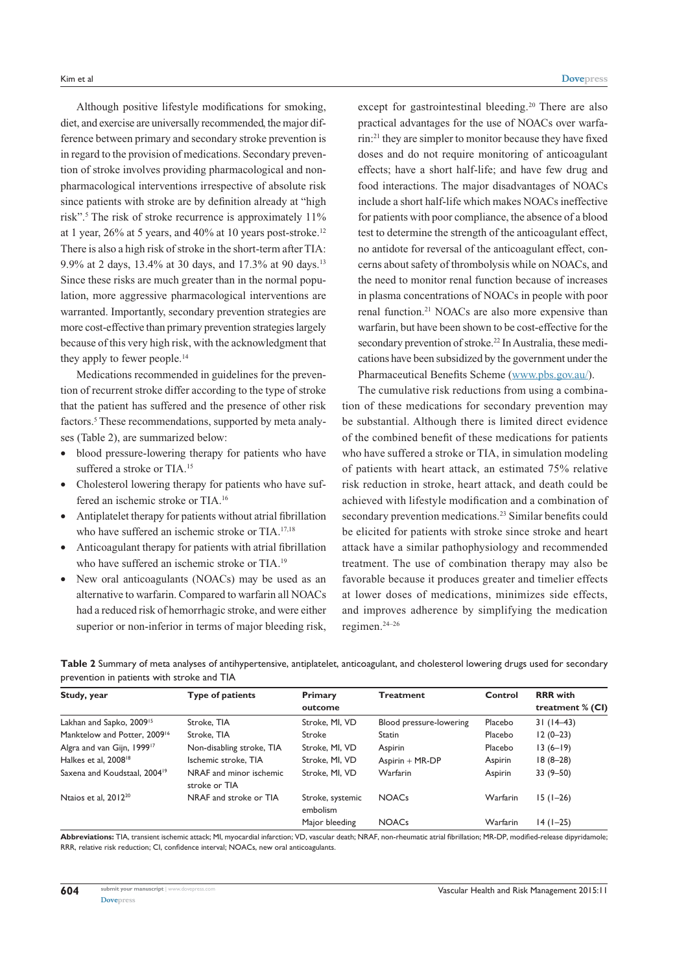Although positive lifestyle modifications for smoking, diet, and exercise are universally recommended, the major difference between primary and secondary stroke prevention is in regard to the provision of medications. Secondary prevention of stroke involves providing pharmacological and nonpharmacological interventions irrespective of absolute risk since patients with stroke are by definition already at "high risk".<sup>5</sup> The risk of stroke recurrence is approximately 11% at 1 year, 26% at 5 years, and 40% at 10 years post-stroke.12 There is also a high risk of stroke in the short-term after TIA: 9.9% at 2 days, 13.4% at 30 days, and 17.3% at 90 days.13 Since these risks are much greater than in the normal population, more aggressive pharmacological interventions are warranted. Importantly, secondary prevention strategies are more cost-effective than primary prevention strategies largely because of this very high risk, with the acknowledgment that they apply to fewer people.<sup>14</sup>

Medications recommended in guidelines for the prevention of recurrent stroke differ according to the type of stroke that the patient has suffered and the presence of other risk factors.<sup>5</sup> These recommendations, supported by meta analyses (Table 2), are summarized below:

- blood pressure-lowering therapy for patients who have suffered a stroke or TIA.15
- Cholesterol lowering therapy for patients who have suffered an ischemic stroke or TIA.16
- Antiplatelet therapy for patients without atrial fibrillation who have suffered an ischemic stroke or TIA.<sup>17,18</sup>
- Anticoagulant therapy for patients with atrial fibrillation who have suffered an ischemic stroke or TIA.<sup>19</sup>
- New oral anticoagulants (NOACs) may be used as an alternative to warfarin. Compared to warfarin all NOACs had a reduced risk of hemorrhagic stroke, and were either superior or non-inferior in terms of major bleeding risk,

except for gastrointestinal bleeding.<sup>20</sup> There are also practical advantages for the use of NOACs over warfarin:21 they are simpler to monitor because they have fixed doses and do not require monitoring of anticoagulant effects; have a short half-life; and have few drug and food interactions. The major disadvantages of NOACs include a short half-life which makes NOACs ineffective for patients with poor compliance, the absence of a blood test to determine the strength of the anticoagulant effect, no antidote for reversal of the anticoagulant effect, concerns about safety of thrombolysis while on NOACs, and the need to monitor renal function because of increases in plasma concentrations of NOACs in people with poor renal function.21 NOACs are also more expensive than warfarin, but have been shown to be cost-effective for the secondary prevention of stroke.<sup>22</sup> In Australia, these medications have been subsidized by the government under the Pharmaceutical Benefits Scheme (www.pbs.gov.au/).

The cumulative risk reductions from using a combination of these medications for secondary prevention may be substantial. Although there is limited direct evidence of the combined benefit of these medications for patients who have suffered a stroke or TIA, in simulation modeling of patients with heart attack, an estimated 75% relative risk reduction in stroke, heart attack, and death could be achieved with lifestyle modification and a combination of secondary prevention medications.<sup>23</sup> Similar benefits could be elicited for patients with stroke since stroke and heart attack have a similar pathophysiology and recommended treatment. The use of combination therapy may also be favorable because it produces greater and timelier effects at lower doses of medications, minimizes side effects, and improves adherence by simplifying the medication regimen.24–26

**Table 2** Summary of meta analyses of antihypertensive, antiplatelet, anticoagulant, and cholesterol lowering drugs used for secondary prevention in patients with stroke and TIA

| Study, year                              | Type of patients                         | <b>Primary</b>               | <b>Treatment</b>        | Control  | <b>RRR</b> with  |  |
|------------------------------------------|------------------------------------------|------------------------------|-------------------------|----------|------------------|--|
|                                          |                                          | outcome                      |                         |          | treatment % (CI) |  |
| Lakhan and Sapko, 2009 <sup>15</sup>     | Stroke, TIA                              | Stroke, MI, VD               | Blood pressure-lowering | Placebo  | $31(14-43)$      |  |
| Manktelow and Potter, 2009 <sup>16</sup> | Stroke. TIA                              | Stroke                       | <b>Statin</b>           | Placebo  | $12(0-23)$       |  |
| Algra and van Gijn, 1999 <sup>17</sup>   | Non-disabling stroke, TIA                | Stroke, MI, VD               | Aspirin                 | Placebo  | $13(6-19)$       |  |
| Halkes et al, 2008 <sup>18</sup>         | Ischemic stroke, TIA                     | Stroke, MI, VD               | Aspirin + MR-DP         | Aspirin  | $18(8-28)$       |  |
| Saxena and Koudstaal, 2004 <sup>19</sup> | NRAF and minor ischemic<br>stroke or TIA | Stroke, MI, VD               | Warfarin                | Aspirin  | $33(9 - 50)$     |  |
| Ntaios et al, 2012 <sup>20</sup>         | NRAF and stroke or TIA                   | Stroke, systemic<br>embolism | <b>NOACs</b>            | Warfarin | $15(1-26)$       |  |
|                                          |                                          | Major bleeding               | <b>NOACs</b>            | Warfarin | $14(1-25)$       |  |

**Abbreviations:** TIA, transient ischemic attack; MI, myocardial infarction; VD, vascular death; NRAF, non-rheumatic atrial fibrillation; MR-DP, modified-release dipyridamole; RRR, relative risk reduction; CI, confidence interval; NOACs, new oral anticoagulants.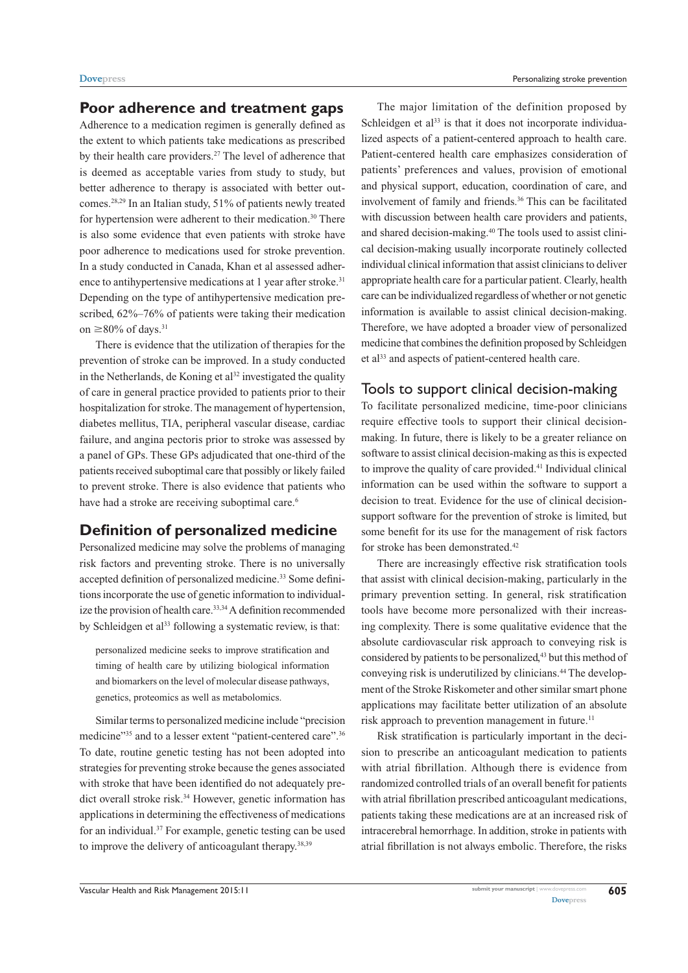### **Poor adherence and treatment gaps**

Adherence to a medication regimen is generally defined as the extent to which patients take medications as prescribed by their health care providers.<sup>27</sup> The level of adherence that is deemed as acceptable varies from study to study, but better adherence to therapy is associated with better outcomes.28,29 In an Italian study, 51% of patients newly treated for hypertension were adherent to their medication.<sup>30</sup> There is also some evidence that even patients with stroke have poor adherence to medications used for stroke prevention. In a study conducted in Canada, Khan et al assessed adherence to antihypertensive medications at 1 year after stroke.<sup>31</sup> Depending on the type of antihypertensive medication prescribed, 62%–76% of patients were taking their medication on  $\geq$ 80% of days.<sup>31</sup>

There is evidence that the utilization of therapies for the prevention of stroke can be improved. In a study conducted in the Netherlands, de Koning et  $al<sup>32</sup>$  investigated the quality of care in general practice provided to patients prior to their hospitalization for stroke. The management of hypertension, diabetes mellitus, TIA, peripheral vascular disease, cardiac failure, and angina pectoris prior to stroke was assessed by a panel of GPs. These GPs adjudicated that one-third of the patients received suboptimal care that possibly or likely failed to prevent stroke. There is also evidence that patients who have had a stroke are receiving suboptimal care.<sup>6</sup>

# **Definition of personalized medicine**

Personalized medicine may solve the problems of managing risk factors and preventing stroke. There is no universally accepted definition of personalized medicine.<sup>33</sup> Some definitions incorporate the use of genetic information to individualize the provision of health care.<sup>33,34</sup> A definition recommended by Schleidgen et al<sup>33</sup> following a systematic review, is that:

personalized medicine seeks to improve stratification and timing of health care by utilizing biological information and biomarkers on the level of molecular disease pathways, genetics, proteomics as well as metabolomics.

Similar terms to personalized medicine include "precision medicine"<sup>35</sup> and to a lesser extent "patient-centered care".<sup>36</sup> To date, routine genetic testing has not been adopted into strategies for preventing stroke because the genes associated with stroke that have been identified do not adequately predict overall stroke risk.34 However, genetic information has applications in determining the effectiveness of medications for an individual.37 For example, genetic testing can be used to improve the delivery of anticoagulant therapy.38,39

The major limitation of the definition proposed by Schleidgen et  $al<sup>33</sup>$  is that it does not incorporate individualized aspects of a patient-centered approach to health care. Patient-centered health care emphasizes consideration of patients' preferences and values, provision of emotional and physical support, education, coordination of care, and involvement of family and friends.<sup>36</sup> This can be facilitated with discussion between health care providers and patients, and shared decision-making.40 The tools used to assist clinical decision-making usually incorporate routinely collected individual clinical information that assist clinicians to deliver appropriate health care for a particular patient. Clearly, health care can be individualized regardless of whether or not genetic information is available to assist clinical decision-making. Therefore, we have adopted a broader view of personalized medicine that combines the definition proposed by Schleidgen et al<sup>33</sup> and aspects of patient-centered health care.

#### Tools to support clinical decision-making

To facilitate personalized medicine, time-poor clinicians require effective tools to support their clinical decisionmaking. In future, there is likely to be a greater reliance on software to assist clinical decision-making as this is expected to improve the quality of care provided.41 Individual clinical information can be used within the software to support a decision to treat. Evidence for the use of clinical decisionsupport software for the prevention of stroke is limited, but some benefit for its use for the management of risk factors for stroke has been demonstrated.42

There are increasingly effective risk stratification tools that assist with clinical decision-making, particularly in the primary prevention setting. In general, risk stratification tools have become more personalized with their increasing complexity. There is some qualitative evidence that the absolute cardiovascular risk approach to conveying risk is considered by patients to be personalized,<sup>43</sup> but this method of conveying risk is underutilized by clinicians.44 The development of the Stroke Riskometer and other similar smart phone applications may facilitate better utilization of an absolute risk approach to prevention management in future.<sup>11</sup>

Risk stratification is particularly important in the decision to prescribe an anticoagulant medication to patients with atrial fibrillation. Although there is evidence from randomized controlled trials of an overall benefit for patients with atrial fibrillation prescribed anticoagulant medications, patients taking these medications are at an increased risk of intracerebral hemorrhage. In addition, stroke in patients with atrial fibrillation is not always embolic. Therefore, the risks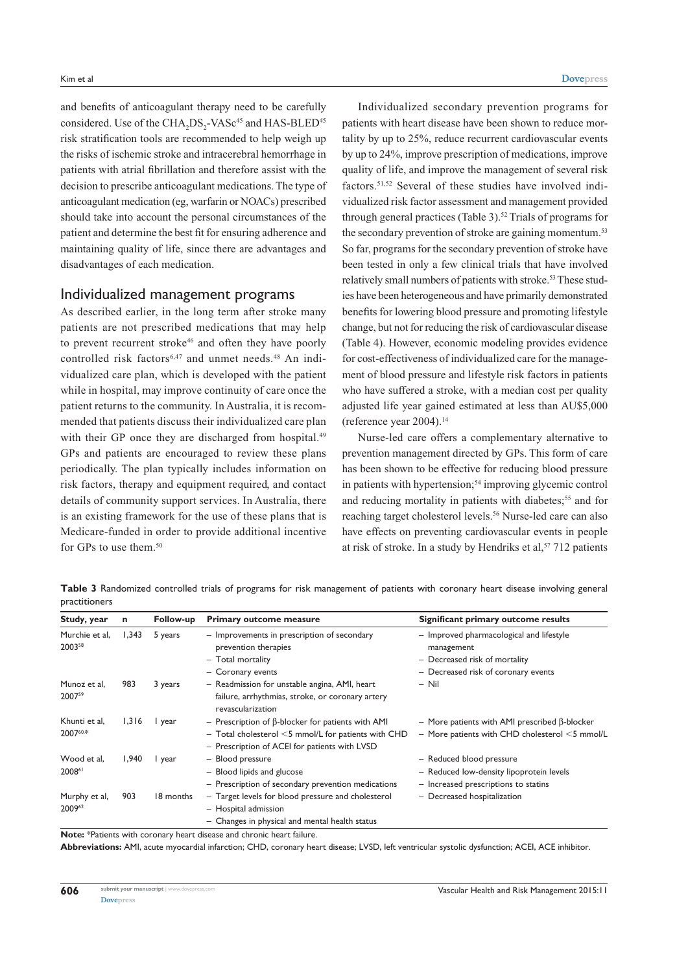and benefits of anticoagulant therapy need to be carefully considered. Use of the  $\text{CHA}_2\text{DS}_2\text{-}\text{VASc}^{45}$  and  $\text{HAS-BLED}^{45}$ risk stratification tools are recommended to help weigh up the risks of ischemic stroke and intracerebral hemorrhage in patients with atrial fibrillation and therefore assist with the decision to prescribe anticoagulant medications. The type of anticoagulant medication (eg, warfarin or NOACs) prescribed should take into account the personal circumstances of the patient and determine the best fit for ensuring adherence and maintaining quality of life, since there are advantages and disadvantages of each medication.

#### Individualized management programs

As described earlier, in the long term after stroke many patients are not prescribed medications that may help to prevent recurrent stroke<sup>46</sup> and often they have poorly controlled risk factors<sup>6,47</sup> and unmet needs.<sup>48</sup> An individualized care plan, which is developed with the patient while in hospital, may improve continuity of care once the patient returns to the community. In Australia, it is recommended that patients discuss their individualized care plan with their GP once they are discharged from hospital.<sup>49</sup> GPs and patients are encouraged to review these plans periodically. The plan typically includes information on risk factors, therapy and equipment required, and contact details of community support services. In Australia, there is an existing framework for the use of these plans that is Medicare-funded in order to provide additional incentive for GPs to use them.<sup>50</sup>

Individualized secondary prevention programs for patients with heart disease have been shown to reduce mortality by up to 25%, reduce recurrent cardiovascular events by up to 24%, improve prescription of medications, improve quality of life, and improve the management of several risk factors.51,52 Several of these studies have involved individualized risk factor assessment and management provided through general practices (Table 3).<sup>52</sup> Trials of programs for the secondary prevention of stroke are gaining momentum.<sup>53</sup> So far, programs for the secondary prevention of stroke have been tested in only a few clinical trials that have involved relatively small numbers of patients with stroke.53 These studies have been heterogeneous and have primarily demonstrated benefits for lowering blood pressure and promoting lifestyle change, but not for reducing the risk of cardiovascular disease (Table 4). However, economic modeling provides evidence for cost-effectiveness of individualized care for the management of blood pressure and lifestyle risk factors in patients who have suffered a stroke, with a median cost per quality adjusted life year gained estimated at less than AU\$5,000 (reference year  $2004$ ).<sup>14</sup>

Nurse-led care offers a complementary alternative to prevention management directed by GPs. This form of care has been shown to be effective for reducing blood pressure in patients with hypertension;<sup>54</sup> improving glycemic control and reducing mortality in patients with diabetes;<sup>55</sup> and for reaching target cholesterol levels.56 Nurse-led care can also have effects on preventing cardiovascular events in people at risk of stroke. In a study by Hendriks et al,  $57$  712 patients

**Table 3** Randomized controlled trials of programs for risk management of patients with coronary heart disease involving general practitioners

| Study, year               | n     | Follow-up | <b>Primary outcome measure</b>                                                                                         | Significant primary outcome results                    |
|---------------------------|-------|-----------|------------------------------------------------------------------------------------------------------------------------|--------------------------------------------------------|
| Murchie et al,<br>200358  | 1,343 | 5 years   | - Improvements in prescription of secondary<br>prevention therapies                                                    | - Improved pharmacological and lifestyle<br>management |
|                           |       |           | - Total mortality                                                                                                      | - Decreased risk of mortality                          |
|                           |       |           | - Coronary events                                                                                                      | - Decreased risk of coronary events                    |
| Munoz et al,<br>200759    | 983   | 3 years   | - Readmission for unstable angina, AMI, heart<br>failure, arrhythmias, stroke, or coronary artery<br>revascularization | $-$ Nil                                                |
| Khunti et al,<br>200760,* | 1,316 | I year    | - Prescription of $\beta$ -blocker for patients with AMI                                                               | $-$ More patients with AMI prescribed $\beta$ -blocker |
|                           |       |           | $-$ Total cholesterol $<$ 5 mmol/L for patients with CHD<br>- Prescription of ACEI for patients with LVSD              | $-$ More patients with CHD cholesterol $<$ 5 mmol/L    |
| Wood et al,               | 1,940 | l year    | - Blood pressure                                                                                                       | - Reduced blood pressure                               |
| 200861                    |       |           | - Blood lipids and glucose                                                                                             | - Reduced low-density lipoprotein levels               |
|                           |       |           | - Prescription of secondary prevention medications                                                                     | - Increased prescriptions to statins                   |
| Murphy et al,<br>200962   | 903   | 18 months | - Target levels for blood pressure and cholesterol                                                                     | - Decreased hospitalization                            |
|                           |       |           | - Hospital admission                                                                                                   |                                                        |
|                           |       |           | - Changes in physical and mental health status                                                                         |                                                        |

**Note:** \*Patients with coronary heart disease and chronic heart failure.

**Abbreviations:** AMI, acute myocardial infarction; CHD, coronary heart disease; LVSD, left ventricular systolic dysfunction; ACEI, ACE inhibitor.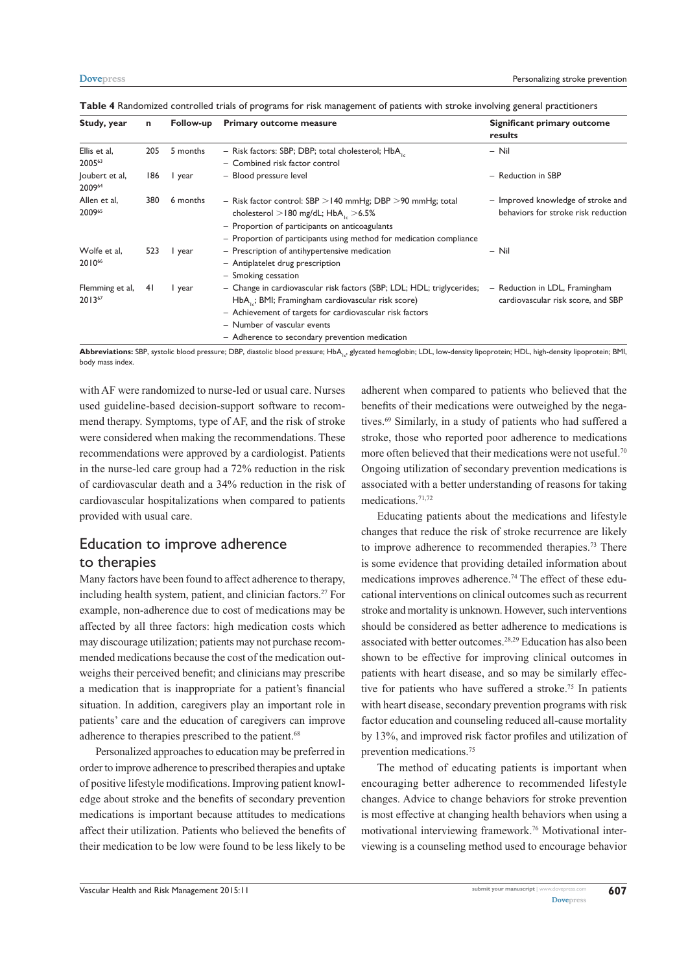| Study, year               | n   | Follow-up | <b>Primary outcome measure</b>                                                                                                                                                                                                                                                | Significant primary outcome<br>results                                    |
|---------------------------|-----|-----------|-------------------------------------------------------------------------------------------------------------------------------------------------------------------------------------------------------------------------------------------------------------------------------|---------------------------------------------------------------------------|
| Ellis et al,<br>200563    | 205 | 5 months  | $-$ Risk factors: SBP; DBP; total cholesterol; HbA<br>- Combined risk factor control                                                                                                                                                                                          | $-$ Nil                                                                   |
| Joubert et al,<br>200964  | 186 | I year    | - Blood pressure level                                                                                                                                                                                                                                                        | - Reduction in SBP                                                        |
| Allen et al,<br>200965    | 380 | 6 months  | $-$ Risk factor control: SBP $>$ 140 mmHg; DBP $>$ 90 mmHg; total<br>cholesterol $>$ 180 mg/dL; HbA <sub>1</sub> $>$ 6.5%<br>- Proportion of participants on anticoagulants<br>- Proportion of participants using method for medication compliance                            | - Improved knowledge of stroke and<br>behaviors for stroke risk reduction |
| Wolfe et al,<br>201066    | 523 | I year    | - Prescription of antihypertensive medication<br>- Antiplatelet drug prescription<br>- Smoking cessation                                                                                                                                                                      | – Nil                                                                     |
| Flemming et al,<br>201367 | 4 I | I year    | - Change in cardiovascular risk factors (SBP; LDL; HDL; triglycerides;<br>$HbA_{1}$ ; BMI; Framingham cardiovascular risk score)<br>- Achievement of targets for cardiovascular risk factors<br>- Number of vascular events<br>- Adherence to secondary prevention medication | - Reduction in LDL, Framingham<br>cardiovascular risk score, and SBP      |

| Table 4 Randomized controlled trials of programs for risk management of patients with stroke involving general practitioners |  |  |  |  |
|------------------------------------------------------------------------------------------------------------------------------|--|--|--|--|
|------------------------------------------------------------------------------------------------------------------------------|--|--|--|--|

**bbreviations:** SBP, systolic blood pressure; DBP, diastolic blood pressure; HbA<sub>10</sub>, glycated hemoglobin; LDL, low-density lipoprotein; HDL, high-density lipoprotein; BMI, body mass index.

with AF were randomized to nurse-led or usual care. Nurses used guideline-based decision-support software to recommend therapy. Symptoms, type of AF, and the risk of stroke were considered when making the recommendations. These recommendations were approved by a cardiologist. Patients in the nurse-led care group had a 72% reduction in the risk of cardiovascular death and a 34% reduction in the risk of cardiovascular hospitalizations when compared to patients provided with usual care.

## Education to improve adherence to therapies

Many factors have been found to affect adherence to therapy, including health system, patient, and clinician factors.27 For example, non-adherence due to cost of medications may be affected by all three factors: high medication costs which may discourage utilization; patients may not purchase recommended medications because the cost of the medication outweighs their perceived benefit; and clinicians may prescribe a medication that is inappropriate for a patient's financial situation. In addition, caregivers play an important role in patients' care and the education of caregivers can improve adherence to therapies prescribed to the patient.<sup>68</sup>

Personalized approaches to education may be preferred in order to improve adherence to prescribed therapies and uptake of positive lifestyle modifications. Improving patient knowledge about stroke and the benefits of secondary prevention medications is important because attitudes to medications affect their utilization. Patients who believed the benefits of their medication to be low were found to be less likely to be

adherent when compared to patients who believed that the benefits of their medications were outweighed by the negatives.69 Similarly, in a study of patients who had suffered a stroke, those who reported poor adherence to medications more often believed that their medications were not useful.<sup>70</sup> Ongoing utilization of secondary prevention medications is associated with a better understanding of reasons for taking medications.<sup>71,72</sup>

Educating patients about the medications and lifestyle changes that reduce the risk of stroke recurrence are likely to improve adherence to recommended therapies.73 There is some evidence that providing detailed information about medications improves adherence.<sup>74</sup> The effect of these educational interventions on clinical outcomes such as recurrent stroke and mortality is unknown. However, such interventions should be considered as better adherence to medications is associated with better outcomes.28,29 Education has also been shown to be effective for improving clinical outcomes in patients with heart disease, and so may be similarly effective for patients who have suffered a stroke.<sup>75</sup> In patients with heart disease, secondary prevention programs with risk factor education and counseling reduced all-cause mortality by 13%, and improved risk factor profiles and utilization of prevention medications.75

The method of educating patients is important when encouraging better adherence to recommended lifestyle changes. Advice to change behaviors for stroke prevention is most effective at changing health behaviors when using a motivational interviewing framework.76 Motivational interviewing is a counseling method used to encourage behavior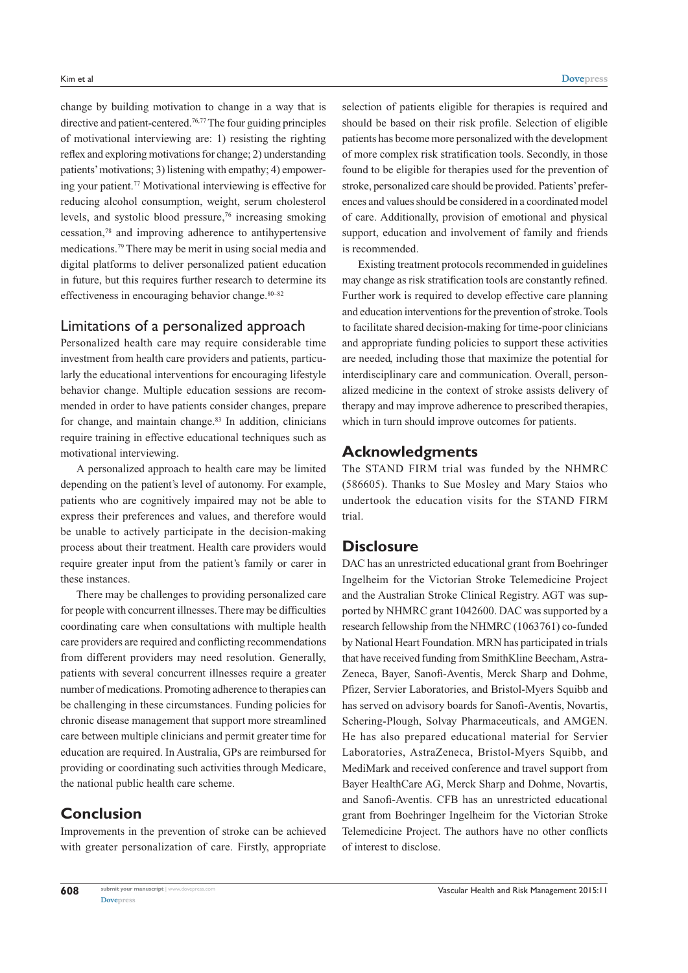change by building motivation to change in a way that is directive and patient-centered.76,77 The four guiding principles of motivational interviewing are: 1) resisting the righting reflex and exploring motivations for change; 2) understanding patients' motivations; 3) listening with empathy; 4) empowering your patient.77 Motivational interviewing is effective for reducing alcohol consumption, weight, serum cholesterol levels, and systolic blood pressure,76 increasing smoking cessation,78 and improving adherence to antihypertensive medications.79 There may be merit in using social media and digital platforms to deliver personalized patient education in future, but this requires further research to determine its effectiveness in encouraging behavior change.<sup>80-82</sup>

### Limitations of a personalized approach

Personalized health care may require considerable time investment from health care providers and patients, particularly the educational interventions for encouraging lifestyle behavior change. Multiple education sessions are recommended in order to have patients consider changes, prepare for change, and maintain change.<sup>83</sup> In addition, clinicians require training in effective educational techniques such as motivational interviewing.

A personalized approach to health care may be limited depending on the patient's level of autonomy. For example, patients who are cognitively impaired may not be able to express their preferences and values, and therefore would be unable to actively participate in the decision-making process about their treatment. Health care providers would require greater input from the patient's family or carer in these instances.

There may be challenges to providing personalized care for people with concurrent illnesses. There may be difficulties coordinating care when consultations with multiple health care providers are required and conflicting recommendations from different providers may need resolution. Generally, patients with several concurrent illnesses require a greater number of medications. Promoting adherence to therapies can be challenging in these circumstances. Funding policies for chronic disease management that support more streamlined care between multiple clinicians and permit greater time for education are required. In Australia, GPs are reimbursed for providing or coordinating such activities through Medicare, the national public health care scheme.

# **Conclusion**

Improvements in the prevention of stroke can be achieved with greater personalization of care. Firstly, appropriate

selection of patients eligible for therapies is required and should be based on their risk profile. Selection of eligible patients has become more personalized with the development of more complex risk stratification tools. Secondly, in those found to be eligible for therapies used for the prevention of stroke, personalized care should be provided. Patients' preferences and values should be considered in a coordinated model of care. Additionally, provision of emotional and physical support, education and involvement of family and friends is recommended.

Existing treatment protocols recommended in guidelines may change as risk stratification tools are constantly refined. Further work is required to develop effective care planning and education interventions for the prevention of stroke. Tools to facilitate shared decision-making for time-poor clinicians and appropriate funding policies to support these activities are needed, including those that maximize the potential for interdisciplinary care and communication. Overall, personalized medicine in the context of stroke assists delivery of therapy and may improve adherence to prescribed therapies, which in turn should improve outcomes for patients.

## **Acknowledgments**

The STAND FIRM trial was funded by the NHMRC (586605). Thanks to Sue Mosley and Mary Staios who undertook the education visits for the STAND FIRM trial.

## **Disclosure**

DAC has an unrestricted educational grant from Boehringer Ingelheim for the Victorian Stroke Telemedicine Project and the Australian Stroke Clinical Registry. AGT was supported by NHMRC grant 1042600. DAC was supported by a research fellowship from the NHMRC (1063761) co-funded by National Heart Foundation. MRN has participated in trials that have received funding from SmithKline Beecham, Astra-Zeneca, Bayer, Sanofi-Aventis, Merck Sharp and Dohme, Pfizer, Servier Laboratories, and Bristol-Myers Squibb and has served on advisory boards for Sanofi-Aventis, Novartis, Schering-Plough, Solvay Pharmaceuticals, and AMGEN. He has also prepared educational material for Servier Laboratories, AstraZeneca, Bristol-Myers Squibb, and MediMark and received conference and travel support from Bayer HealthCare AG, Merck Sharp and Dohme, Novartis, and Sanofi-Aventis. CFB has an unrestricted educational grant from Boehringer Ingelheim for the Victorian Stroke Telemedicine Project. The authors have no other conflicts of interest to disclose.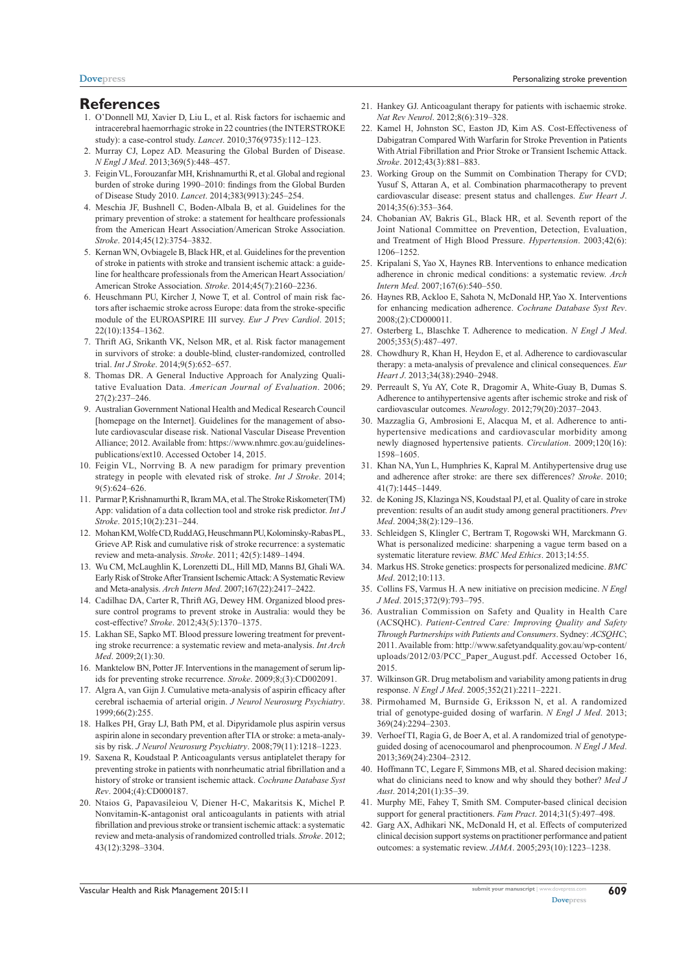#### **References**

- 1. O'Donnell MJ, Xavier D, Liu L, et al. Risk factors for ischaemic and intracerebral haemorrhagic stroke in 22 countries (the INTERSTROKE study): a case-control study. *Lancet*. 2010;376(9735):112–123.
- 2. Murray CJ, Lopez AD. Measuring the Global Burden of Disease. *N Engl J Med*. 2013;369(5):448–457.
- 3. Feigin VL, Forouzanfar MH, Krishnamurthi R, et al. Global and regional burden of stroke during 1990–2010: findings from the Global Burden of Disease Study 2010. *Lancet*. 2014;383(9913):245–254.
- 4. Meschia JF, Bushnell C, Boden-Albala B, et al. Guidelines for the primary prevention of stroke: a statement for healthcare professionals from the American Heart Association/American Stroke Association. *Stroke*. 2014;45(12):3754–3832.
- 5. Kernan WN, Ovbiagele B, Black HR, et al. Guidelines for the prevention of stroke in patients with stroke and transient ischemic attack: a guideline for healthcare professionals from the American Heart Association/ American Stroke Association. *Stroke*. 2014;45(7):2160–2236.
- 6. Heuschmann PU, Kircher J, Nowe T, et al. Control of main risk factors after ischaemic stroke across Europe: data from the stroke-specific module of the EUROASPIRE III survey. *Eur J Prev Cardiol*. 2015; 22(10):1354–1362.
- 7. Thrift AG, Srikanth VK, Nelson MR, et al. Risk factor management in survivors of stroke: a double-blind, cluster-randomized, controlled trial. *Int J Stroke*. 2014;9(5):652–657.
- 8. Thomas DR. A General Inductive Approach for Analyzing Qualitative Evaluation Data. *American Journal of Evaluation*. 2006; 27(2):237–246.
- 9. Australian Government National Health and Medical Research Council [homepage on the Internet]. Guidelines for the management of absolute cardiovascular disease risk. National Vascular Disease Prevention Alliance; 2012. Available from: https://www.nhmrc.gov.au/guidelinespublications/ext10. Accessed October 14, 2015.
- 10. Feigin VL, Norrving B. A new paradigm for primary prevention strategy in people with elevated risk of stroke. *Int J Stroke*. 2014; 9(5):624–626.
- 11. Parmar P, Krishnamurthi R, Ikram MA, et al. The Stroke Riskometer(TM) App: validation of a data collection tool and stroke risk predictor. *Int J Stroke*. 2015;10(2):231–244.
- 12. Mohan KM, Wolfe CD, Rudd AG, Heuschmann PU, Kolominsky-Rabas PL, Grieve AP. Risk and cumulative risk of stroke recurrence: a systematic review and meta-analysis. *Stroke*. 2011; 42(5):1489–1494.
- 13. Wu CM, McLaughlin K, Lorenzetti DL, Hill MD, Manns BJ, Ghali WA. Early Risk of Stroke After Transient Ischemic Attack: A Systematic Review and Meta-analysis. *Arch Intern Med*. 2007;167(22):2417–2422.
- 14. Cadilhac DA, Carter R, Thrift AG, Dewey HM. Organized blood pressure control programs to prevent stroke in Australia: would they be cost-effective? *Stroke*. 2012;43(5):1370–1375.
- 15. Lakhan SE, Sapko MT. Blood pressure lowering treatment for preventing stroke recurrence: a systematic review and meta-analysis. *Int Arch Med*. 2009;2(1):30.
- 16. Manktelow BN, Potter JF. Interventions in the management of serum lipids for preventing stroke recurrence. *Stroke*. 2009;8;(3):CD002091.
- 17. Algra A, van Gijn J. Cumulative meta-analysis of aspirin efficacy after cerebral ischaemia of arterial origin. *J Neurol Neurosurg Psychiatry*. 1999;66(2):255.
- 18. Halkes PH, Gray LJ, Bath PM, et al. Dipyridamole plus aspirin versus aspirin alone in secondary prevention after TIA or stroke: a meta-analysis by risk. *J Neurol Neurosurg Psychiatry*. 2008;79(11):1218–1223.
- 19. Saxena R, Koudstaal P. Anticoagulants versus antiplatelet therapy for preventing stroke in patients with nonrheumatic atrial fibrillation and a history of stroke or transient ischemic attack. *Cochrane Database Syst Rev*. 2004;(4):CD000187.
- 20. Ntaios G, Papavasileiou V, Diener H-C, Makaritsis K, Michel P. Nonvitamin-K-antagonist oral anticoagulants in patients with atrial fibrillation and previous stroke or transient ischemic attack: a systematic review and meta-analysis of randomized controlled trials. *Stroke*. 2012; 43(12):3298–3304.
- 21. Hankey GJ. Anticoagulant therapy for patients with ischaemic stroke. *Nat Rev Neurol*. 2012;8(6):319–328.
- 22. Kamel H, Johnston SC, Easton JD, Kim AS. Cost-Effectiveness of Dabigatran Compared With Warfarin for Stroke Prevention in Patients With Atrial Fibrillation and Prior Stroke or Transient Ischemic Attack. *Stroke*. 2012;43(3):881–883.
- 23. Working Group on the Summit on Combination Therapy for CVD; Yusuf S, Attaran A, et al. Combination pharmacotherapy to prevent cardiovascular disease: present status and challenges. *Eur Heart J*. 2014;35(6):353–364.
- 24. Chobanian AV, Bakris GL, Black HR, et al. Seventh report of the Joint National Committee on Prevention, Detection, Evaluation, and Treatment of High Blood Pressure. *Hypertension*. 2003;42(6): 1206–1252.
- 25. Kripalani S, Yao X, Haynes RB. Interventions to enhance medication adherence in chronic medical conditions: a systematic review. *Arch Intern Med*. 2007;167(6):540–550.
- 26. Haynes RB, Ackloo E, Sahota N, McDonald HP, Yao X. Interventions for enhancing medication adherence. *Cochrane Database Syst Rev*. 2008;(2):CD000011.
- 27. Osterberg L, Blaschke T. Adherence to medication. *N Engl J Med*. 2005;353(5):487–497.
- 28. Chowdhury R, Khan H, Heydon E, et al. Adherence to cardiovascular therapy: a meta-analysis of prevalence and clinical consequences. *Eur Heart J*. 2013;34(38):2940–2948.
- 29. Perreault S, Yu AY, Cote R, Dragomir A, White-Guay B, Dumas S. Adherence to antihypertensive agents after ischemic stroke and risk of cardiovascular outcomes. *Neurology*. 2012;79(20):2037–2043.
- 30. Mazzaglia G, Ambrosioni E, Alacqua M, et al. Adherence to antihypertensive medications and cardiovascular morbidity among newly diagnosed hypertensive patients. *Circulation*. 2009;120(16): 1598–1605.
- 31. Khan NA, Yun L, Humphries K, Kapral M. Antihypertensive drug use and adherence after stroke: are there sex differences? *Stroke*. 2010; 41(7):1445–1449.
- 32. de Koning JS, Klazinga NS, Koudstaal PJ, et al. Quality of care in stroke prevention: results of an audit study among general practitioners. *Prev Med*. 2004;38(2):129–136.
- 33. Schleidgen S, Klingler C, Bertram T, Rogowski WH, Marckmann G. What is personalized medicine: sharpening a vague term based on a systematic literature review. *BMC Med Ethics*. 2013;14:55.
- 34. Markus HS. Stroke genetics: prospects for personalized medicine. *BMC Med*. 2012;10:113.
- 35. Collins FS, Varmus H. A new initiative on precision medicine. *N Engl J Med*. 2015;372(9):793–795.
- 36. Australian Commission on Safety and Quality in Health Care (ACSQHC). *Patient-Centred Care: Improving Quality and Safety Through Partnerships with Patients and Consumers*. Sydney: *ACSQHC*; 2011. Available from: http://www.safetyandquality.gov.au/wp-content/ uploads/2012/03/PCC\_Paper\_August.pdf. Accessed October 16, 2015.
- 37. Wilkinson GR. Drug metabolism and variability among patients in drug response. *N Engl J Med*. 2005;352(21):2211–2221.
- 38. Pirmohamed M, Burnside G, Eriksson N, et al. A randomized trial of genotype-guided dosing of warfarin. *N Engl J Med*. 2013; 369(24):2294–2303.
- 39. Verhoef TI, Ragia G, de Boer A, et al. A randomized trial of genotypeguided dosing of acenocoumarol and phenprocoumon. *N Engl J Med*. 2013;369(24):2304–2312.
- 40. Hoffmann TC, Legare F, Simmons MB, et al. Shared decision making: what do clinicians need to know and why should they bother? *Med J Aust*. 2014;201(1):35–39.
- 41. Murphy ME, Fahey T, Smith SM. Computer-based clinical decision support for general practitioners. *Fam Pract*. 2014;31(5):497–498.
- 42. Garg AX, Adhikari NK, McDonald H, et al. Effects of computerized clinical decision support systems on practitioner performance and patient outcomes: a systematic review. *JAMA*. 2005;293(10):1223–1238.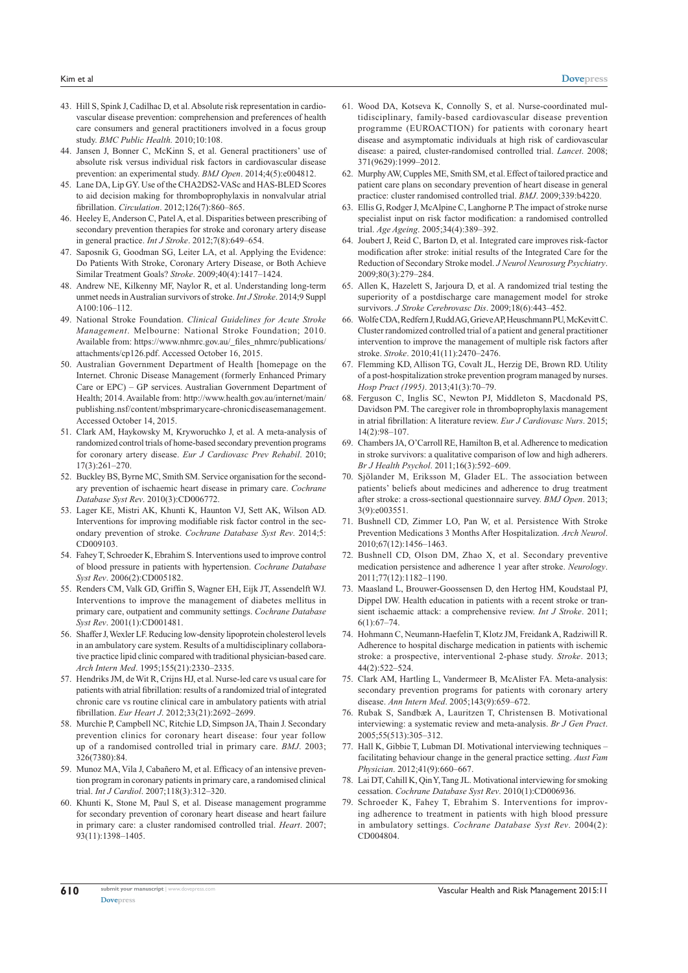43. Hill S, Spink J, Cadilhac D, et al. Absolute risk representation in cardiovascular disease prevention: comprehension and preferences of health care consumers and general practitioners involved in a focus group study. *BMC Public Health.* 2010;10:108.

Kim et al

- 44. Jansen J, Bonner C, McKinn S, et al. General practitioners' use of absolute risk versus individual risk factors in cardiovascular disease prevention: an experimental study. *BMJ Open*. 2014;4(5):e004812.
- 45. Lane DA, Lip GY. Use of the CHA2DS2-VASc and HAS-BLED Scores to aid decision making for thromboprophylaxis in nonvalvular atrial fibrillation. *Circulation*. 2012;126(7):860–865.
- 46. Heeley E, Anderson C, Patel A, et al. Disparities between prescribing of secondary prevention therapies for stroke and coronary artery disease in general practice. *Int J Stroke*. 2012;7(8):649–654.
- 47. Saposnik G, Goodman SG, Leiter LA, et al. Applying the Evidence: Do Patients With Stroke, Coronary Artery Disease, or Both Achieve Similar Treatment Goals? *Stroke*. 2009;40(4):1417–1424.
- 48. Andrew NE, Kilkenny MF, Naylor R, et al. Understanding long-term unmet needs in Australian survivors of stroke. *Int J Stroke*. 2014;9 Suppl  $A100:106-112$ .
- 49. National Stroke Foundation. *Clinical Guidelines for Acute Stroke Management*. Melbourne: National Stroke Foundation; 2010. Available from: https://www.nhmrc.gov.au/\_files\_nhmrc/publications/ attachments/cp126.pdf. Accessed October 16, 2015.
- 50. Australian Government Department of Health [homepage on the Internet. Chronic Disease Management (formerly Enhanced Primary Care or EPC) – GP services. Australian Government Department of Health; 2014. Available from: http://www.health.gov.au/internet/main/ publishing.nsf/content/mbsprimarycare-chronicdiseasemanagement. Accessed October 14, 2015.
- 51. Clark AM, Haykowsky M, Kryworuchko J, et al. A meta-analysis of randomized control trials of home-based secondary prevention programs for coronary artery disease. *Eur J Cardiovasc Prev Rehabil*. 2010; 17(3):261–270.
- 52. Buckley BS, Byrne MC, Smith SM. Service organisation for the secondary prevention of ischaemic heart disease in primary care. *Cochrane Database Syst Rev*. 2010(3):CD006772.
- 53. Lager KE, Mistri AK, Khunti K, Haunton VJ, Sett AK, Wilson AD. Interventions for improving modifiable risk factor control in the secondary prevention of stroke. *Cochrane Database Syst Rev*. 2014;5: CD009103.
- 54. Fahey T, Schroeder K, Ebrahim S. Interventions used to improve control of blood pressure in patients with hypertension. *Cochrane Database Syst Rev*. 2006(2):CD005182.
- 55. Renders CM, Valk GD, Griffin S, Wagner EH, Eijk JT, Assendelft WJ. Interventions to improve the management of diabetes mellitus in primary care, outpatient and community settings. *Cochrane Database Syst Rev*. 2001(1):CD001481.
- 56. Shaffer J, Wexler LF. Reducing low-density lipoprotein cholesterol levels in an ambulatory care system. Results of a multidisciplinary collaborative practice lipid clinic compared with traditional physician-based care. *Arch Intern Med*. 1995;155(21):2330–2335.
- 57. Hendriks JM, de Wit R, Crijns HJ, et al. Nurse-led care vs usual care for patients with atrial fibrillation: results of a randomized trial of integrated chronic care vs routine clinical care in ambulatory patients with atrial fibrillation. *Eur Heart J*. 2012;33(21):2692–2699.
- 58. Murchie P, Campbell NC, Ritchie LD, Simpson JA, Thain J. Secondary prevention clinics for coronary heart disease: four year follow up of a randomised controlled trial in primary care. *BMJ*. 2003; 326(7380):84.
- 59. Munoz MA, Vila J, Cabañero M, et al. Efficacy of an intensive prevention program in coronary patients in primary care, a randomised clinical trial. *Int J Cardiol*. 2007;118(3):312–320.
- 60. Khunti K, Stone M, Paul S, et al. Disease management programme for secondary prevention of coronary heart disease and heart failure in primary care: a cluster randomised controlled trial. *Heart*. 2007; 93(11):1398–1405.
- 61. Wood DA, Kotseva K, Connolly S, et al. Nurse-coordinated multidisciplinary, family-based cardiovascular disease prevention programme (EUROACTION) for patients with coronary heart disease and asymptomatic individuals at high risk of cardiovascular disease: a paired, cluster-randomised controlled trial. *Lancet*. 2008; 371(9629):1999–2012.
- 62. Murphy AW, Cupples ME, Smith SM, et al. Effect of tailored practice and patient care plans on secondary prevention of heart disease in general practice: cluster randomised controlled trial. *BMJ*. 2009;339:b4220.
- 63. Ellis G, Rodger J, McAlpine C, Langhorne P. The impact of stroke nurse specialist input on risk factor modification: a randomised controlled trial. *Age Ageing*. 2005;34(4):389–392.
- 64. Joubert J, Reid C, Barton D, et al. Integrated care improves risk-factor modification after stroke: initial results of the Integrated Care for the Reduction of Secondary Stroke model. *J Neurol Neurosurg Psychiatry*. 2009;80(3):279–284.
- 65. Allen K, Hazelett S, Jarjoura D, et al. A randomized trial testing the superiority of a postdischarge care management model for stroke survivors. *J Stroke Cerebrovasc Dis*. 2009;18(6):443–452.
- 66. Wolfe CDA, Redfern J, Rudd AG, Grieve AP, Heuschmann PU, McKevitt C. Cluster randomized controlled trial of a patient and general practitioner intervention to improve the management of multiple risk factors after stroke. *Stroke*. 2010;41(11):2470–2476.
- 67. Flemming KD, Allison TG, Covalt JL, Herzig DE, Brown RD. Utility of a post-hospitalization stroke prevention program managed by nurses. *Hosp Pract (1995)*. 2013;41(3):70–79.
- 68. Ferguson C, Inglis SC, Newton PJ, Middleton S, Macdonald PS, Davidson PM. The caregiver role in thromboprophylaxis management in atrial fibrillation: A literature review. *Eur J Cardiovasc Nurs*. 2015; 14(2):98–107.
- 69. Chambers JA, O'Carroll RE, Hamilton B, et al. Adherence to medication in stroke survivors: a qualitative comparison of low and high adherers. *Br J Health Psychol*. 2011;16(3):592–609.
- 70. Sjölander M, Eriksson M, Glader EL. The association between patients' beliefs about medicines and adherence to drug treatment after stroke: a cross-sectional questionnaire survey. *BMJ Open*. 2013; 3(9):e003551.
- 71. Bushnell CD, Zimmer LO, Pan W, et al. Persistence With Stroke Prevention Medications 3 Months After Hospitalization. *Arch Neurol*. 2010;67(12):1456–1463.
- 72. Bushnell CD, Olson DM, Zhao X, et al. Secondary preventive medication persistence and adherence 1 year after stroke. *Neurology*. 2011;77(12):1182–1190.
- 73. Maasland L, Brouwer-Goossensen D, den Hertog HM, Koudstaal PJ, Dippel DW. Health education in patients with a recent stroke or transient ischaemic attack: a comprehensive review. *Int J Stroke*. 2011; 6(1):67–74.
- 74. Hohmann C, Neumann-Haefelin T, Klotz JM, Freidank A, Radziwill R. Adherence to hospital discharge medication in patients with ischemic stroke: a prospective, interventional 2-phase study. *Stroke*. 2013; 44(2):522–524.
- 75. Clark AM, Hartling L, Vandermeer B, McAlister FA. Meta-analysis: secondary prevention programs for patients with coronary artery disease. *Ann Intern Med*. 2005;143(9):659–672.
- 76. Rubak S, Sandbæk A, Lauritzen T, Christensen B. Motivational interviewing: a systematic review and meta-analysis. *Br J Gen Pract*. 2005;55(513):305–312.
- 77. Hall K, Gibbie T, Lubman DI. Motivational interviewing techniques facilitating behaviour change in the general practice setting. *Aust Fam Physician*. 2012;41(9):660–667.
- 78. Lai DT, Cahill K, Qin Y, Tang JL. Motivational interviewing for smoking cessation. *Cochrane Database Syst Rev*. 2010(1):CD006936.
- 79. Schroeder K, Fahey T, Ebrahim S. Interventions for improving adherence to treatment in patients with high blood pressure in ambulatory settings. *Cochrane Database Syst Rev*. 2004(2): CD004804.